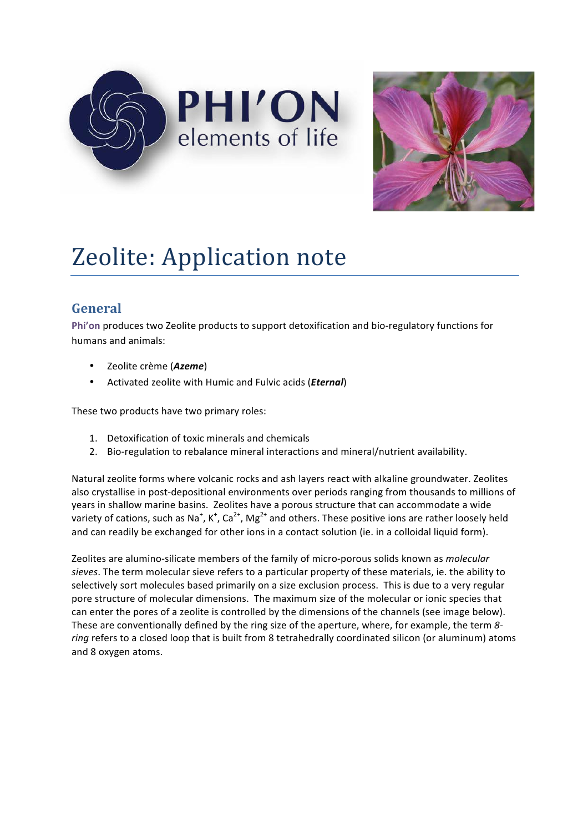



# Zeolite: Application note

## **General**

Phi'on produces two Zeolite products to support detoxification and bio-regulatory functions for humans and animals:

- Zeolite crème (Azeme)
- Activated zeolite with Humic and Fulvic acids (*Eternal*)

These two products have two primary roles:

- 1. Detoxification of toxic minerals and chemicals
- 2. Bio-regulation to rebalance mineral interactions and mineral/nutrient availability.

Natural zeolite forms where volcanic rocks and ash layers react with alkaline groundwater. Zeolites also crystallise in post-depositional environments over periods ranging from thousands to millions of years in shallow marine basins. Zeolites have a porous structure that can accommodate a wide variety of cations, such as Na<sup>+</sup>, K<sup>+</sup>, Ca<sup>2+</sup>, Mg<sup>2+</sup> and others. These positive ions are rather loosely held and can readily be exchanged for other ions in a contact solution (ie. in a colloidal liquid form).

Zeolites are alumino-silicate members of the family of micro-porous solids known as *molecular* sieves. The term molecular sieve refers to a particular property of these materials, ie. the ability to selectively sort molecules based primarily on a size exclusion process. This is due to a very regular pore structure of molecular dimensions. The maximum size of the molecular or ionic species that can enter the pores of a zeolite is controlled by the dimensions of the channels (see image below). These are conventionally defined by the ring size of the aperture, where, for example, the term 8ring refers to a closed loop that is built from 8 tetrahedrally coordinated silicon (or aluminum) atoms and 8 oxygen atoms.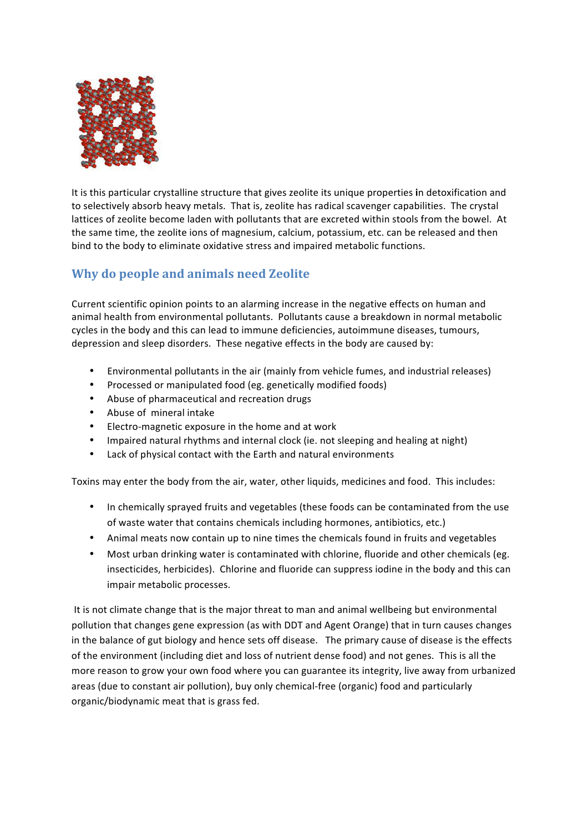

It is this particular crystalline structure that gives zeolite its unique properties in detoxification and to selectively absorb heavy metals. That is, zeolite has radical scavenger capabilities. The crystal lattices of zeolite become laden with pollutants that are excreted within stools from the bowel. At the same time, the zeolite ions of magnesium, calcium, potassium, etc. can be released and then bind to the body to eliminate oxidative stress and impaired metabolic functions.

## **Why do people and animals need Zeolite**

Current scientific opinion points to an alarming increase in the negative effects on human and animal health from environmental pollutants. Pollutants cause a breakdown in normal metabolic cycles in the body and this can lead to immune deficiencies, autoimmune diseases, tumours, depression and sleep disorders. These negative effects in the body are caused by:

- Environmental pollutants in the air (mainly from vehicle fumes, and industrial releases)
- Processed or manipulated food (eg. genetically modified foods)
- Abuse of pharmaceutical and recreation drugs
- Abuse of mineral intake
- Electro-magnetic exposure in the home and at work
- Impaired natural rhythms and internal clock (ie. not sleeping and healing at night)
- Lack of physical contact with the Earth and natural environments

Toxins may enter the body from the air, water, other liquids, medicines and food. This includes:

- In chemically sprayed fruits and vegetables (these foods can be contaminated from the use of waste water that contains chemicals including hormones, antibiotics, etc.)
- Animal meats now contain up to nine times the chemicals found in fruits and vegetables
- Most urban drinking water is contaminated with chlorine, fluoride and other chemicals (eg. insecticides, herbicides). Chlorine and fluoride can suppress iodine in the body and this can impair metabolic processes.

It is not climate change that is the major threat to man and animal wellbeing but environmental pollution that changes gene expression (as with DDT and Agent Orange) that in turn causes changes in the balance of gut biology and hence sets off disease. The primary cause of disease is the effects of the environment (including diet and loss of nutrient dense food) and not genes. This is all the more reason to grow your own food where you can guarantee its integrity, live away from urbanized areas (due to constant air pollution), buy only chemical-free (organic) food and particularly organic/biodynamic meat that is grass fed.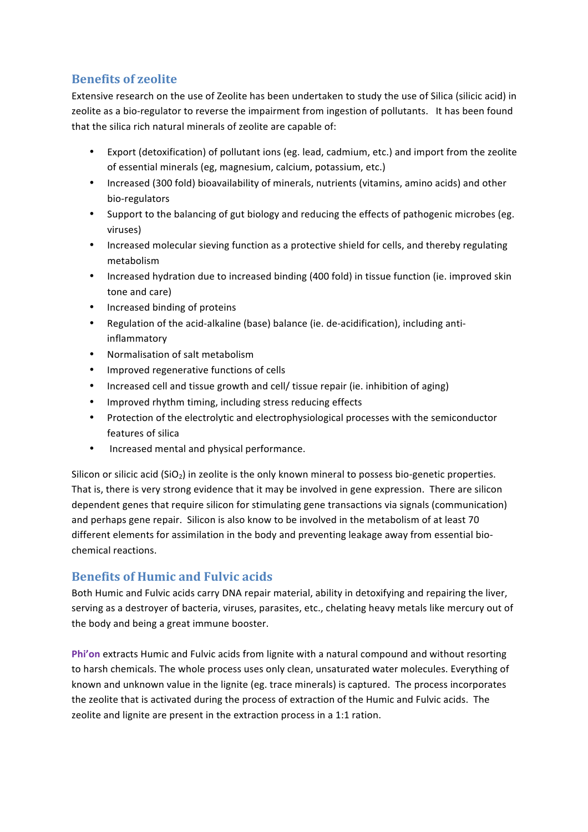## **Benefits of zeolite**

Extensive research on the use of Zeolite has been undertaken to study the use of Silica (silicic acid) in zeolite as a bio-regulator to reverse the impairment from ingestion of pollutants. It has been found that the silica rich natural minerals of zeolite are capable of:

- Export (detoxification) of pollutant ions (eg. lead, cadmium, etc.) and import from the zeolite of essential minerals (eg, magnesium, calcium, potassium, etc.)
- Increased (300 fold) bioavailability of minerals, nutrients (vitamins, amino acids) and other bio-regulators
- Support to the balancing of gut biology and reducing the effects of pathogenic microbes (eg. viruses)
- Increased molecular sieving function as a protective shield for cells, and thereby regulating metabolism
- Increased hydration due to increased binding (400 fold) in tissue function (ie. improved skin tone and care)
- Increased binding of proteins
- Regulation of the acid-alkaline (base) balance (ie. de-acidification), including antiinflammatory
- Normalisation of salt metabolism
- Improved regenerative functions of cells
- Increased cell and tissue growth and cell/ tissue repair (ie. inhibition of aging)
- Improved rhythm timing, including stress reducing effects
- Protection of the electrolytic and electrophysiological processes with the semiconductor features of silica
- Increased mental and physical performance.

Silicon or silicic acid (SiO<sub>2</sub>) in zeolite is the only known mineral to possess bio-genetic properties. That is, there is very strong evidence that it may be involved in gene expression. There are silicon dependent genes that require silicon for stimulating gene transactions via signals (communication) and perhaps gene repair. Silicon is also know to be involved in the metabolism of at least 70 different elements for assimilation in the body and preventing leakage away from essential biochemical reactions.

### **Benefits of Humic and Fulvic acids**

Both Humic and Fulvic acids carry DNA repair material, ability in detoxifying and repairing the liver, serving as a destroyer of bacteria, viruses, parasites, etc., chelating heavy metals like mercury out of the body and being a great immune booster.

Phi'on extracts Humic and Fulvic acids from lignite with a natural compound and without resorting to harsh chemicals. The whole process uses only clean, unsaturated water molecules. Everything of known and unknown value in the lignite (eg. trace minerals) is captured. The process incorporates the zeolite that is activated during the process of extraction of the Humic and Fulvic acids. The zeolite and lignite are present in the extraction process in a 1:1 ration.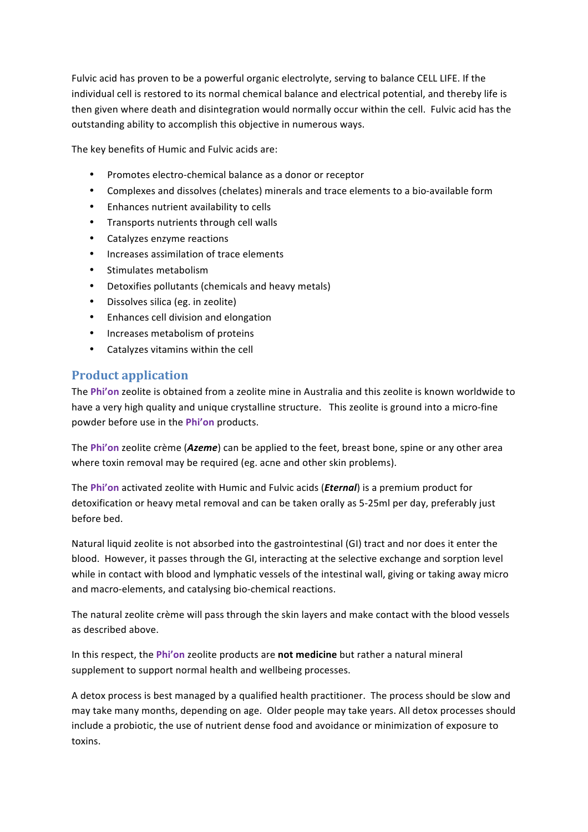Fulvic acid has proven to be a powerful organic electrolyte, serving to balance CELL LIFE. If the individual cell is restored to its normal chemical balance and electrical potential, and thereby life is then given where death and disintegration would normally occur within the cell. Fulvic acid has the outstanding ability to accomplish this objective in numerous ways.

The key benefits of Humic and Fulvic acids are:

- Promotes electro-chemical balance as a donor or receptor
- Complexes and dissolves (chelates) minerals and trace elements to a bio-available form
- Enhances nutrient availability to cells
- Transports nutrients through cell walls
- Catalyzes enzyme reactions
- Increases assimilation of trace elements
- Stimulates metabolism
- Detoxifies pollutants (chemicals and heavy metals)
- Dissolves silica (eg. in zeolite)
- Enhances cell division and elongation
- Increases metabolism of proteins
- Catalyzes vitamins within the cell

#### **Product application**

The Phi'on zeolite is obtained from a zeolite mine in Australia and this zeolite is known worldwide to have a very high quality and unique crystalline structure. This zeolite is ground into a micro-fine powder before use in the Phi'on products.

The Phi'on zeolite crème (*Azeme*) can be applied to the feet, breast bone, spine or any other area where toxin removal may be required (eg. acne and other skin problems).

The Phi'on activated zeolite with Humic and Fulvic acids (*Eternal*) is a premium product for detoxification or heavy metal removal and can be taken orally as 5-25ml per day, preferably just before bed.

Natural liquid zeolite is not absorbed into the gastrointestinal (GI) tract and nor does it enter the blood. However, it passes through the GI, interacting at the selective exchange and sorption level while in contact with blood and lymphatic vessels of the intestinal wall, giving or taking away micro and macro-elements, and catalysing bio-chemical reactions.

The natural zeolite crème will pass through the skin layers and make contact with the blood vessels as described above.

In this respect, the Phi'on zeolite products are not medicine but rather a natural mineral supplement to support normal health and wellbeing processes.

A detox process is best managed by a qualified health practitioner. The process should be slow and may take many months, depending on age. Older people may take years. All detox processes should include a probiotic, the use of nutrient dense food and avoidance or minimization of exposure to toxins.